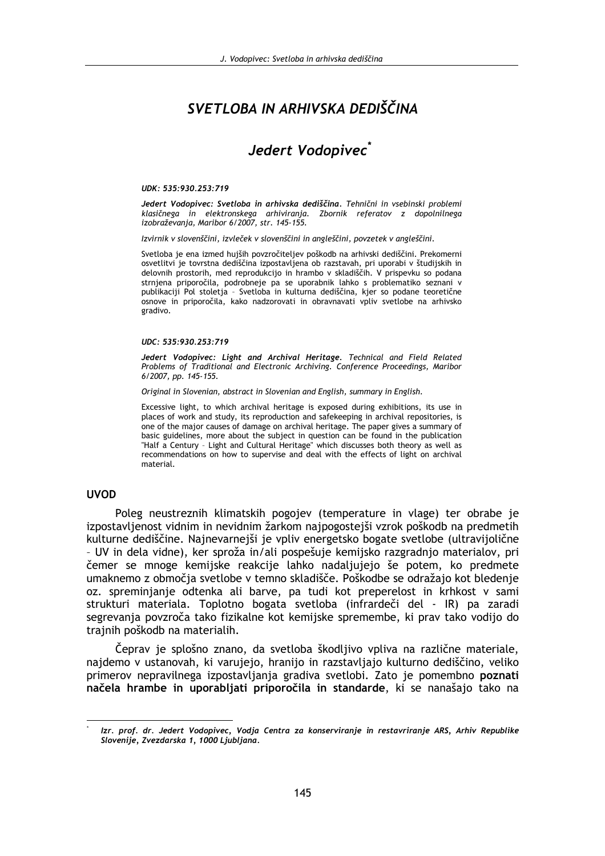# SVETI OBA IN ARHIVSKA DEDIŠČINA

# Jedert Vodopivec<sup>®</sup>

#### UDK: 535:930.253:719

Jedert Vodopivec: Svetloba in arhivska dediščina. Tehnični in vsebinski problemi klasičnega in elektronskega arhiviranja. Zbornik referatov z dopolnilnega izobraževania, Maribor 6/2007, str. 145-155.

Izvirnik v slovenščini, izvleček v slovenščini in angleščini, povzetek v angleščini.

Svetloba je ena izmed hujših povzročiteljev poškodb na arhivski dediščini. Prekomerni osvetlitvi je tovrstna dediščina izpostavljena ob razstavah, pri uporabi v študijskih in delovnih prostorih, med reprodukcijo in hrambo v skladiščih. V prispevku so podana strnjena priporočila, podrobneje pa se uporabnik lahko s problematiko seznani v publikaciji Pol stoletja - Svetloba in kulturna dediščina, kjer so podane teoretične osnove in priporočila, kako nadzorovati in obravnavati vpliv svetlobe na arhivsko gradivo.

#### UDC: 535:930.253:719

Jedert Vodopivec: Light and Archival Heritage. Technical and Field Related Problems of Traditional and Electronic Archiving. Conference Proceedings, Maribor 6/2007, pp. 145-155.

Original in Slovenian, abstract in Slovenian and English, summary in English.

Excessive light, to which archival heritage is exposed during exhibitions, its use in places of work and study, its reproduction and safekeeping in archival repositories, is one of the major causes of damage on archival heritage. The paper gives a summary of basic guidelines, more about the subject in question can be found in the publication "Half a Century - Light and Cultural Heritage" which discusses both theory as well as recommendations on how to supervise and deal with the effects of light on archival material.

#### **UVOD**

Poleg neustreznih klimatskih pogojev (temperature in vlage) ter obrabe je izpostavljenost vidnim in nevidnim žarkom najpogostejši vzrok poškodb na predmetih kulturne dediščine. Najnevarnejši je vpliv energetsko bogate svetlobe (ultravijolične - UV in dela vidne), ker sproža in/ali pospešuje kemijsko razgradnjo materialov, pri čemer se mnoge kemijske reakcije lahko nadaljujejo še potem, ko predmete umaknemo z območja svetlobe v temno skladišče. Poškodbe se odražajo kot bledenje oz. spreminjanje odtenka ali barve, pa tudi kot preperelost in krhkost v sami strukturi materiala. Toplotno bogata svetloba (infrardeči del - IR) pa zaradi segrevania povzroča tako fizikalne kot kemijske spremembe, ki prav tako vodijo do trajnih poškodb na materialih.

Čeprav je splošno znano, da svetloba škodljivo vpliva na različne materiale, najdemo v ustanovah, ki varujejo, hranijo in razstavljajo kulturno dediščino, veliko primerov nepravilnega izpostavljanja gradiva svetlobi. Zato je pomembno poznati načela hrambe in uporabljati priporočila in standarde, ki se nanašajo tako na

Izr. prof. dr. Jedert Vodopivec, Vodja Centra za konserviranje in restavriranje ARS, Arhiv Republike Slovenije, Zvezdarska 1, 1000 Ljubljana.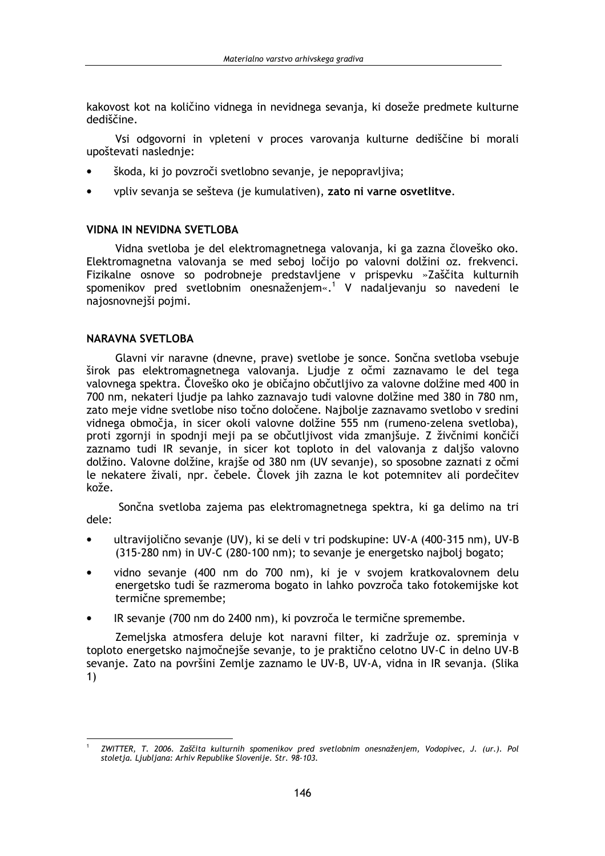kakovost kot na količino vidnega in nevidnega sevania, ki doseže predmete kulturne dediščine

Vsi odgovorni in vpleteni v proces varovanja kulturne dediščine bi morali upoštevati naslednie:

- škoda, ki jo povzroči svetlobno sevanje, je nepopravljiva;
- voliv sevania se sešteva (je kumulativen), zato ni varne osvetlitve.

#### **VIDNA IN NEVIDNA SVETLOBA**

Vidna svetloba je del elektromagnetnega valovanja, ki ga zazna človeško oko. Elektromagnetna valovanja se med seboj ločijo po valovni dolžini oz. frekvenci. Fizikalne osnove so podrobneje predstavljene v prispevku »Zaščita kulturnih spomenikov pred svetlobnim onesnaženjem«.<sup>1</sup> V nadaljevanju so navedeni le najosnovnejši pojmi.

#### **NARAVNA SVETLOBA**

Glavni vir naravne (dnevne, prave) svetlobe je sonce. Sončna svetloba vsebuje širok pas elektromagnetnega valovanja. Ljudje z očmi zaznavamo le del tega valovnega spektra. Človeško oko je običajno občutljivo za valovne dolžine med 400 in 700 nm, nekateri ljudje pa lahko zaznavajo tudi valovne dolžine med 380 in 780 nm, zato meje vidne svetlobe niso točno določene. Najbolje zaznavamo svetlobo v sredini vidnega območja, in sicer okoli valovne dolžine 555 nm (rumeno-zelena svetloba), proti zgornji in spodnji meji pa se občutljivost vida zmanjšuje. Z živčnimi končiči zaznamo tudi IR sevanje, in sicer kot toploto in del valovanja z daljšo valovno dolžino. Valovne dolžine, krajše od 380 nm (UV sevanje), so sposobne zaznati z očmi le nekatere živali, npr. čebele. Človek jih zazna le kot potemnitev ali pordečitev kože.

Sončna svetloba zajema pas elektromagnetnega spektra, ki ga delimo na tri dele:

- ultravijolično sevanje (UV), ki se deli v tri podskupine: UV-A (400-315 nm), UV-B (315-280 nm) in UV-C (280-100 nm); to sevanie je energetsko najbolj bogato;
- vidno sevanje (400 nm do 700 nm), ki je v svojem kratkovalovnem delu energetsko tudi še razmeroma bogato in lahko povzroča tako fotokemijske kot termične spremembe:
- IR sevanie (700 nm do 2400 nm), ki povzroča le termične spremembe.

Zemeljska atmosfera deluje kot naravni filter, ki zadržuje oz. spreminja v toploto energetsko najmočnejše sevanje, to je praktično celotno UV-C in delno UV-B sevanje. Zato na površini Zemlje zaznamo le UV-B, UV-A, vidna in IR sevanja. (Slika  $1)$ 

ZWITTER, T. 2006. Zaščita kulturnih spomenikov pred svetlobnim onesnaženjem, Vodopivec, J. (ur.). Pol stoletja. Ljubljana: Arhiv Republike Slovenije. Str. 98-103.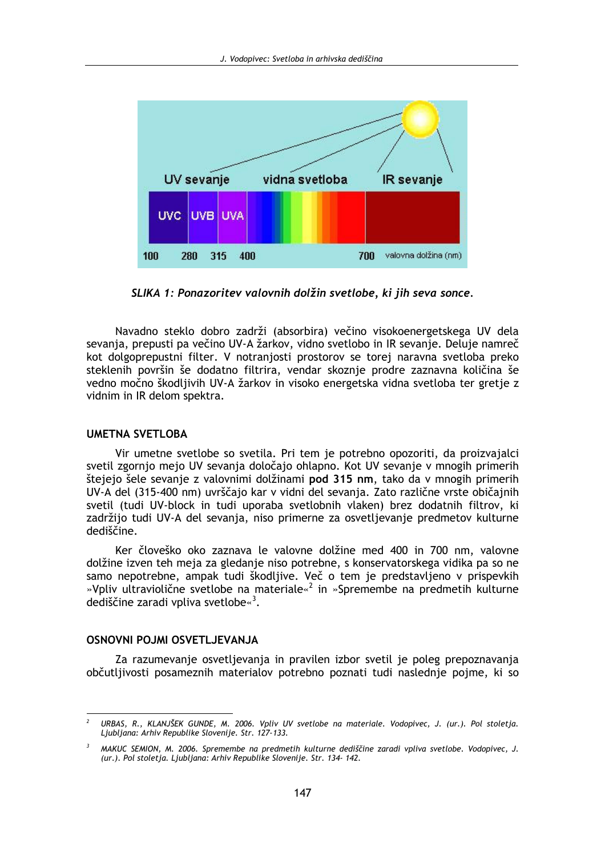

SLIKA 1: Ponazoritev valovnih dolžin svetlobe, ki jih seva sonce.

Navadno steklo dobro zadrži (absorbira) večino visokoenergetskega UV dela sevanja, prepusti pa večino UV-A žarkov, vidno svetlobo in IR sevanje. Deluje namreč kot dolgoprepustni filter. V notranjosti prostorov se torej naravna svetloba preko steklenih površin še dodatno filtrira, vendar skoznje prodre zaznavna količina še vedno močno škodljivih UV-A žarkov in visoko energetska vidna svetloba ter gretje z vidnim in IR delom spektra.

#### **UMETNA SVETLOBA**

Vir umetne svetlobe so svetila. Pri tem je potrebno opozoriti, da proizvajalci svetil zgornjo mejo UV sevanja določajo ohlapno. Kot UV sevanje v mnogih primerih štejejo šele sevanje z valovnimi dolžinami pod 315 nm, tako da v mnogih primerih UV-A del (315-400 nm) uvrščajo kar v vidni del sevanja. Zato različne vrste običajnih svetil (tudi UV-block in tudi uporaba svetlobnih vlaken) brez dodatnih filtrov, ki zadržijo tudi UV-A del sevanja, niso primerne za osvetljevanje predmetov kulturne dediščine.

Ker človeško oko zaznava le valovne dolžine med 400 in 700 nm, valovne dolžine izven teh meja za gledanje niso potrebne, s konservatorskega vidika pa so ne samo nepotrebne, ampak tudi škodljive. Več o tem je predstavljeno v prispevkih »Vpliv ultraviolične svetlobe na materiale«<sup>2</sup> in »Spremembe na predmetih kulturne dediščine zaradi vpliva svetlobe $\frac{3}{2}$ .

#### **OSNOVNI POJMI OSVETLJEVANJA**

Za razumevanje osvetljevanja in pravilen izbor svetil je poleg prepoznavanja občutljivosti posameznih materialov potrebno poznati tudi naslednje pojme, ki so

URBAS, R., KLANJŠEK GUNDE, M. 2006. Vpliv UV svetlobe na materiale. Vodopivec, J. (ur.). Pol stoletja. Ljubljana: Arhiv Republike Slovenije. Str. 127-133.

MAKUC SEMION, M. 2006. Spremembe na predmetih kulturne dediščine zaradi vpliva svetlobe. Vodopivec, J. (ur.). Pol stoletja. Ljubljana: Arhiv Republike Slovenije. Str. 134- 142.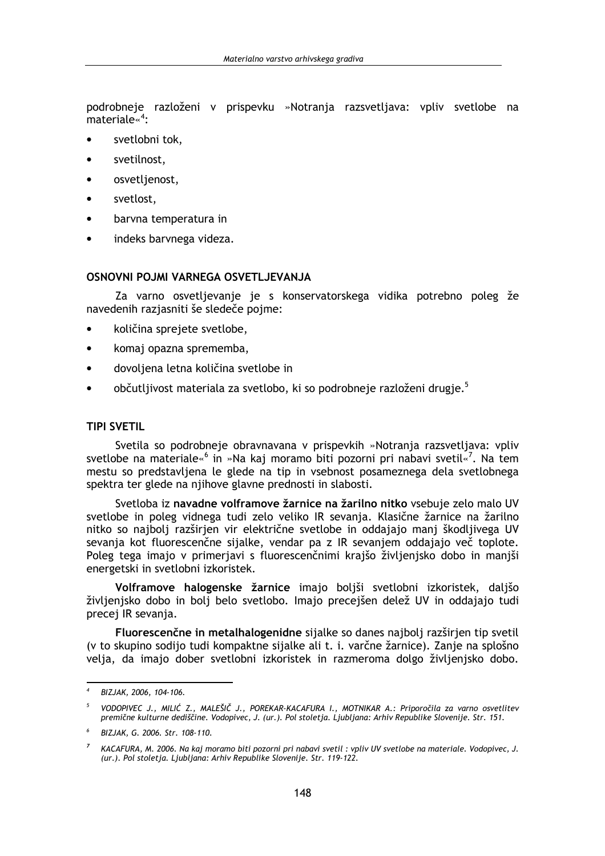podrobneje razloženi v prispevku »Notrania razsvetliava: vpliv svetlobe na materiale $\frac{4}{3}$ :

- svetlobni tok.
- $\blacktriangle$ svetilnost.
- osvetlienost.  $\blacktriangle$
- svetlost,  $\blacksquare$
- barvna temperatura in  $\bullet$
- indeks barvnega videza.  $\bullet$

#### OSNOVNI POJMI VARNEGA OSVETLJEVANJA

Za varno osvetljevanje je s konservatorskega vidika potrebno poleg že navedenih razjasniti še sledeče pojme:

- količina sprejete svetlobe,
- komaj opazna sprememba,  $\bullet$
- dovoljena letna količina svetlobe in
- občutljivost materiala za svetlobo, ki so podrobneje razloženi drugje.<sup>5</sup>

#### **TIPI SVETIL**

Svetila so podrobneje obravnavana v prispevkih »Notranja razsvetljava: vpliv svetlobe na materiale«<sup>6</sup> in »Na kaj moramo biti pozorni pri nabavi svetil«<sup>7</sup>. Na tem mestu so predstavljena le glede na tip in vsebnost posameznega dela svetlobnega spektra ter glede na njihove glavne prednosti in slabosti.

Svetloba iz navadne volframove žarnice na žarilno nitko vsebuje zelo malo UV svetlobe in poleg vidnega tudi zelo veliko IR sevanja. Klasične žarnice na žarilno nitko so najbolj razširjen vir električne svetlobe in oddajajo manj škodljivega UV sevanja kot fluorescenčne sijalke, vendar pa z IR sevanjem oddajajo več toplote. Poleg tega imajo v primerjavi s fluorescenčnimi krajšo življenjsko dobo in manjši energetski in svetlobni izkoristek.

Volframove halogenske žarnice imajo boljši svetlobni izkoristek, daljšo življenjsko dobo in bolj belo svetlobo. Imajo precejšen delež UV in oddajajo tudi precej IR sevanja.

Fluorescenčne in metalhalogenidne sijalke so danes najboli razširjen tip svetil (v to skupino sodijo tudi kompaktne sijalke ali t. i. varčne žarnice). Zanje na splošno velja, da imajo dober svetlobni izkoristek in razmeroma dolgo življenjsko dobo.

BIZJAK, 2006, 104-106.

VODOPIVEC J., MILIĆ Z., MALEŠIČ J., POREKAR-KACAFURA I., MOTNIKAR A.: Priporočila za varno osvetlitev<br>premične kulturne dediščine. Vodopivec, J. (ur.). Pol stoletja. Ljubljana: Arhiv Republike Slovenije. Str. 151  $\overline{5}$ 

BIZJAK, G. 2006. Str. 108-110.

KACAFURA, M. 2006. Na kaj moramo biti pozorni pri nabavi svetil : vpliv UV svetlobe na materiale. Vodopivec, J. (ur.). Pol stoletja. Ljubljana: Arhiv Republike Slovenije. Str. 119-122.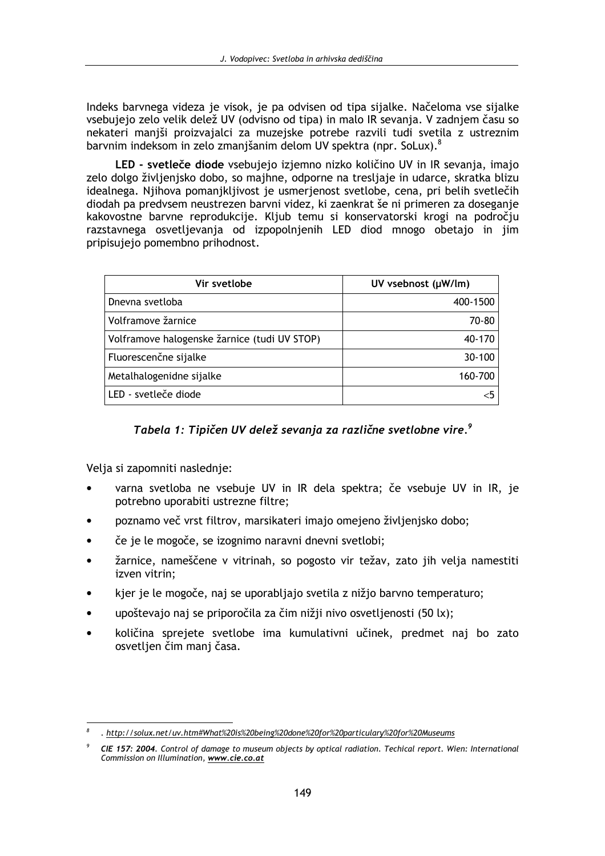Indeks barvnega videza je visok, je pa odvisen od tipa sijalke. Načeloma vse sijalke vsebujejo zelo velik delež UV (odvisno od tipa) in malo IR sevanja. V zadniem času so nekateri manjši proizvajalci za muzejske potrebe razvili tudi svetila z ustreznim barvnim indeksom in zelo zmanjšanim delom UV spektra (npr. SoLux).<sup>8</sup>

LED - svetleče diode vsebujejo izjemno nizko količino UV in IR sevanja, imajo zelo dolgo življenjsko dobo, so majhne, odporne na tresljaje in udarce, skratka blizu idealnega. Njihova pomanjkljivost je usmerjenost svetlobe, cena, pri belih svetlečih diodah pa predvsem neustrezen barvni videz, ki zaenkrat še ni primeren za doseganje kakovostne barvne reprodukcije. Kljub temu si konservatorski krogi na področju razstavnega osvetljevanja od izpopolnjenih LED diod mnogo obetajo in jim pripisujejo pomembno prihodnost.

| Vir svetlobe                                 | UV vsebnost (µW/lm) |
|----------------------------------------------|---------------------|
| Dnevna svetloba                              | 400-1500            |
| Volframove žarnice                           | 70-80               |
| Volframove halogenske žarnice (tudi UV STOP) | 40-170              |
| Fluorescenčne sijalke                        | 30-100              |
| Metalhalogenidne sijalke                     | 160-700             |
| LED - svetleče diode                         |                     |

### Tabela 1: Tipičen UV delež sevanja za različne svetlobne vire.<sup>9</sup>

Velja si zapomniti naslednje:

- varna svetloba ne vsebuje UV in IR dela spektra; če vsebuje UV in IR, je potrebno uporabiti ustrezne filtre;
- poznamo več vrst filtrov, marsikateri imajo omejeno življenjsko dobo;
- če je le mogoče, se izognimo naravni dnevni svetlobi;
- žarnice, nameščene v vitrinah, so pogosto vir težav, zato jih velja namestiti izven vitrin:
- kjer je le mogoče, naj se uporabljajo svetila z nižjo barvno temperaturo;
- upoštevajo naj se priporočila za čim nižji nivo osvetljenosti (50 lx);
- količina sprejete svetlobe ima kumulativni učinek, predmet naj bo zato osvetljen čim manj časa.

<sup>.</sup> http://solux.net/uv.htm#What%20is%20beinq%20done%20for%20particulary%20for%20Museums

CIE 157: 2004. Control of damage to museum objects by optical radiation. Techical report. Wien: International Commission on Illumination, www.cie.co.at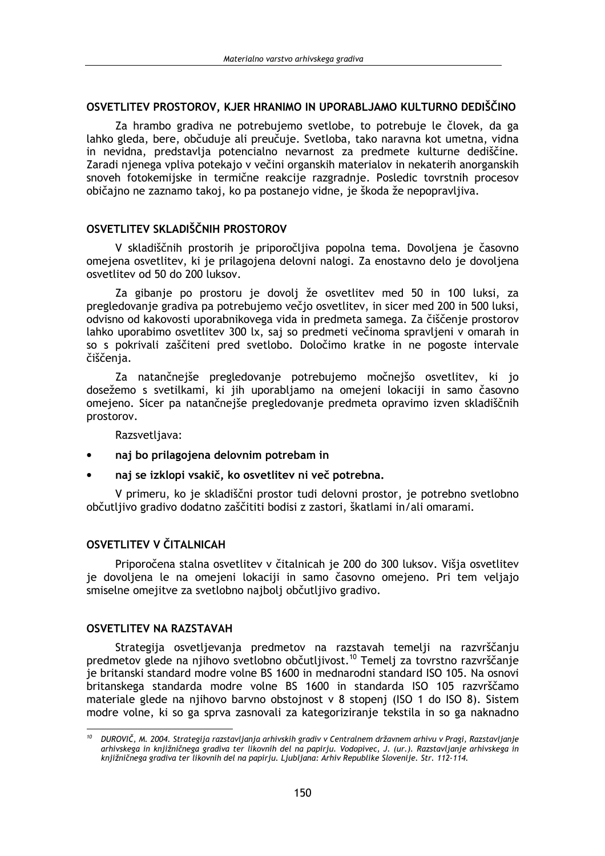### OSVETLITEV PROSTOROV. KJER HRANIMO IN UPORABLJAMO KULTURNO DEDIŠČINO

Za hrambo gradiva ne potrebujemo svetlobe, to potrebuje le človek, da ga lahko gleda, bere, občuduje ali preučuje. Svetloba, tako naravna kot umetna, vidna in nevidna, predstavlja potencialno nevarnost za predmete kulturne dediščine. Zaradi nienega vpliva potekajo v večini organskih materialov in nekaterih anorganskih snoveh fotokemijske in termične reakcije razgradnje. Posledic tovrstnih procesov običajno ne zaznamo takoj, ko pa postanejo vidne, je škoda že nepopravljiva.

### OSVETLITEV SKLADIŠČNIH PROSTOROV

V skladiščnih prostorih je priporočljiva popolna tema. Dovoljena je časovno omejena osvetlitev, ki je prilagojena delovni nalogi. Za enostavno delo je dovoljena osvetlitev od 50 do 200 luksov.

Za gibanje po prostoru je dovolj že osvetlitev med 50 in 100 luksi, za pregledovanje gradiva pa potrebujemo večjo osvetlitev, in sicer med 200 in 500 luksi, odvisno od kakovosti uporabnikovega vida in predmeta samega. Za čiščenie prostorov lahko uporabimo osvetlitev 300 lx, saj so predmeti večinoma spravljeni v omarah in so s pokrivali zaščiteni pred svetlobo. Določimo kratke in ne pogoste intervale čiščenja.

Za natančnejše pregledovanje potrebujemo močnejšo osvetlitev, ki jo dosežemo s svetilkami, ki jih uporabljamo na omejeni lokaciji in samo časovno omejeno. Sicer pa natančnejše pregledovanje predmeta opravimo izven skladiščnih prostorov.

Razsvetljava:

- naj bo prilagojena delovnim potrebam in
- naj se izklopi vsakič, ko osvetlitev ni več potrebna.

V primeru, ko je skladiščni prostor tudi delovni prostor, je potrebno svetlobno občutlijvo gradivo dodatno zaščititi bodisi z zastori, škatlami in/ali omarami.

## OSVETLITEV V ČITALNICAH

Priporočena stalna osvetlitev v čitalnicah je 200 do 300 luksov. Višia osvetlitev je dovoljena le na omejeni lokaciji in samo časovno omejeno. Pri tem veljajo smiselne omejitve za svetlobno najbolj občutljivo gradivo.

### **OSVETLITEV NA RAZSTAVAH**

Strategija osvetljevanja predmetov na razstavah temelji na razvrščanju predmetov glede na njihovo svetlobno občutljivost.<sup>10</sup> Temelj za tovrstno razvrščanje je britanski standard modre volne BS 1600 in mednarodni standard ISO 105. Na osnovi britanskega standarda modre volne BS 1600 in standarda ISO 105 razvrščamo materiale glede na njihovo barvno obstojnost v 8 stopenj (ISO 1 do ISO 8). Sistem modre volne, ki so ga sprva zasnovali za kategoriziranje tekstila in so ga naknadno

DUROVIČ, M. 2004. Strategija razstavljanja arhivskih gradiv v Centralnem državnem arhivu v Pragi, Razstavljanje arhivskega in knjižničnega gradiva ter likovnih del na papirju. Vodopivec, J. (ur.). Razstavljanje arhivskega in knjižničnega gradiva ter likovnih del na papirju. Ljubljana: Arhiv Republike Slovenije. Str. 112-114.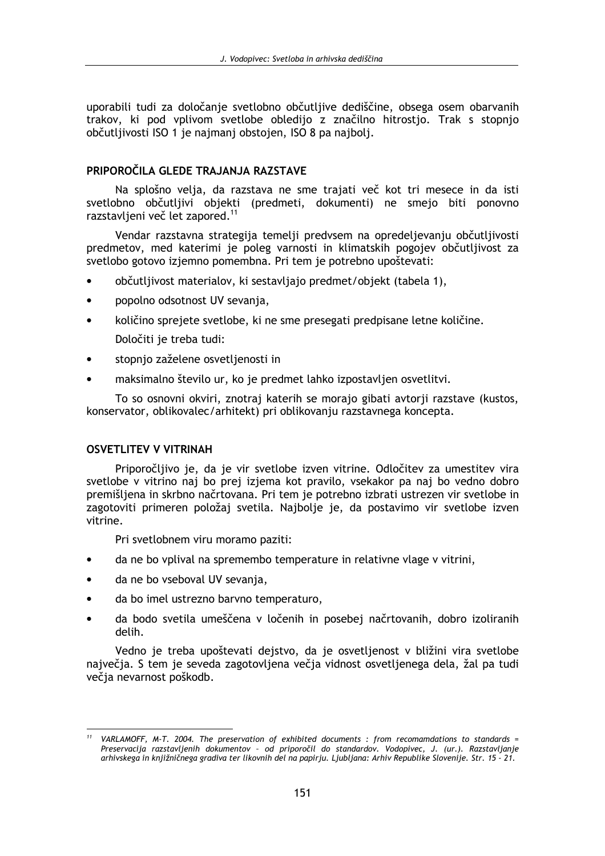uporabili tudi za določanie svetlobno občutlijve dediščine, obsega osem obarvanih trakov. ki pod vplivom svetlobe obledijo z značilno hitrostjo. Trak s stopnjo občutlijvosti ISO 1 je najmanj obstojen. ISO 8 pa najbolj.

### PRIPOROČILA GLEDE TRAJANJA RAZSTAVE

Na splošno velja, da razstava ne sme trajati več kot tri mesece in da isti svetlobno občutljivi objekti (predmeti, dokumenti) ne smejo biti ponovno razstavljeni več let zapored.<sup>11</sup>

Vendar razstavna strategija temelji predvsem na opredeljevanju občutljivosti predmetov, med katerimi je poleg varnosti in klimatskih pogojev občutljivost za svetlobo gotovo izjemno pomembna. Pri tem je potrebno upoštevati:

- $\bullet$ občutljivost materialov, ki sestavljajo predmet/objekt (tabela 1),
- popolno odsotnost UV sevanja,
- količino sprejete svetlobe, ki ne sme presegati predpisane letne količine. Določiti je treba tudi:
- stopnio zaželene osvetljenosti in
- maksimalno število ur, ko je predmet lahko izpostavljen osvetlitvi.

To so osnovni okviri, znotraj katerih se morajo gibati avtorji razstave (kustos, konservator, oblikovalec/arhitekt) pri oblikovanju razstavnega koncepta.

### **OSVETLITEV V VITRINAH**

Priporočljivo je, da je vir svetlobe izven vitrine. Odločitev za umestitev vira svetlobe v vitrino naj bo prej izjema kot pravilo, vsekakor pa naj bo vedno dobro premišljena in skrbno načrtovana. Pri tem je potrebno izbrati ustrezen vir svetlobe in zagotoviti primeren položaj svetila. Najbolje je, da postavimo vir svetlobe izven vitrine.

Pri svetlobnem viru moramo paziti:

- da ne bo vplival na spremembo temperature in relativne vlage v vitrini,
- da ne bo vseboval UV sevanja,
- da bo imel ustrezno barvno temperaturo,
- da bodo svetila umeščena v ločenih in posebej načrtovanih, dobro izoliranih delih.

Vedno je treba upoštevati dejstvo, da je osvetljenost v bližini vira svetlobe naivečia. S tem je seveda zagotovljena večia vidnost osvetljenega dela, žal pa tudi večia nevarnost poškodb.

VARLAMOFF, M-T. 2004. The preservation of exhibited documents : from recomamdations to standards = Preservacija razstavljenih dokumentov - od priporočil do standardov. Vodopivec, J. (ur.). Razstavljanje arhivskega in knjižničnega gradiva ter likovnih del na papirju. Ljubljana: Arhiv Republike Slovenije. Str. 15 - 21.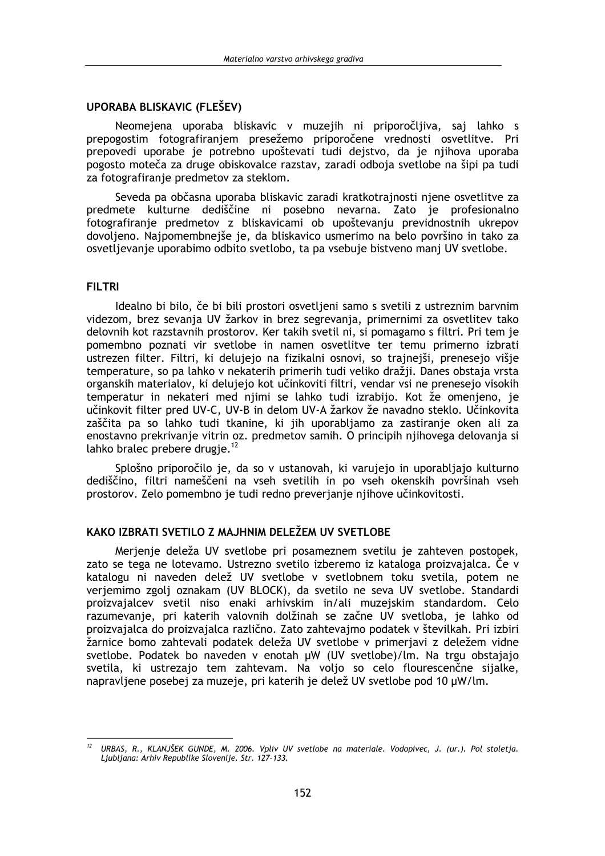### UPORABA BLISKAVIC (FLEŠEV)

Neomejena uporaba bliskavic v muzejih ni priporočljiva, saj lahko s prepogostim fotografiranjem presežemo priporočene vrednosti osvetlitve. Pri prepovedi uporabe je potrebno upoštevati tudi dejstvo, da je njihova uporaba pogosto moteča za druge obiskovalce razstav, zaradi odboja svetlobe na šipi pa tudi za fotografiranje predmetov za steklom.

Seveda pa občasna uporaba bliskavic zaradi kratkotrajnosti njene osvetlitve za predmete kulturne dediščine ni posebno nevarna. Zato je profesionalno fotografiranje predmetov z bliskavicami ob upoštevanju previdnostnih ukrepov dovoljeno. Najpomembnejše je, da bliskavico usmerimo na belo površino in tako za osvetljevanje uporabimo odbito svetlobo, ta pa vsebuje bistveno manj UV svetlobe.

### **FILTRI**

Idealno bi bilo, če bi bili prostori osvetljeni samo s svetili z ustreznim barvnim videzom, brez sevanja UV žarkov in brez segrevanja, primernimi za osvetlitev tako delovnih kot razstavnih prostorov. Ker takih svetil ni, si pomagamo s filtri. Pri tem je pomembno poznati vir svetlobe in namen osvetlitve ter temu primerno izbrati ustrezen filter. Filtri, ki delujejo na fizikalni osnovi, so trajnejši, prenesejo višje temperature, so pa lahko v nekaterih primerih tudi veliko dražji. Danes obstaja vrsta organskih materialov, ki delujejo kot učinkoviti filtri, vendar vsi ne prenesejo visokih temperatur in nekateri med njimi se lahko tudi izrabijo. Kot že omenjeno, je učinkovit filter pred UV-C, UV-B in delom UV-A žarkov že navadno steklo. Učinkovita zaščita pa so lahko tudi tkanine, ki jih uporabljamo za zastiranje oken ali za enostavno prekrivanje vitrin oz. predmetov samih. O principih njihovega delovanja si lahko bralec prebere drugje. $^{12}$ 

Splošno priporočilo je, da so v ustanovah, ki varujejo in uporabljajo kulturno dediščino, filtri nameščeni na vseh svetilih in po vseh okenskih površinah vseh prostorov. Zelo pomembno je tudi redno preverianie nijhove učinkovitosti.

#### KAKO IZBRATI SVETILO Z MAJHNIM DELEŽEM LIV SVETI OBE

Merienie deleža UV svetlobe pri posameznem svetilu je zahteven postopek, zato se tega ne lotevamo. Ustrezno svetilo izberemo iz kataloga proizvajalca. Če v katalogu ni naveden delež UV svetlobe v svetlobnem toku svetila, potem ne verjemimo zgolj oznakam (UV BLOCK), da svetilo ne seva UV svetlobe. Standardi proizvajalcev svetil niso enaki arhivskim in/ali muzejskim standardom. Celo razumevanje, pri katerih valovnih dolžinah se začne UV svetloba, je lahko od proizvajalca do proizvajalca različno. Zato zahtevajmo podatek v številkah. Pri izbiri žarnice bomo zahtevali podatek deleža UV svetlobe v primerjavi z deležem vidne svetlobe. Podatek bo naveden v enotah µW (UV svetlobe)/lm. Na trgu obstajajo svetila, ki ustrezajo tem zahtevam. Na voljo so celo flourescenčne sijalke, napravljene posebej za muzeje, pri katerih je delež UV svetlobe pod 10 µW/lm.

<sup>&</sup>lt;sup>12</sup> URBAS, R., KLANJŠEK GUNDE, M. 2006. Vpliv UV svetlobe na materiale. Vodopivec, J. (ur.). Pol stoletja. Ljubljana: Arhiv Republike Slovenije. Str. 127-133.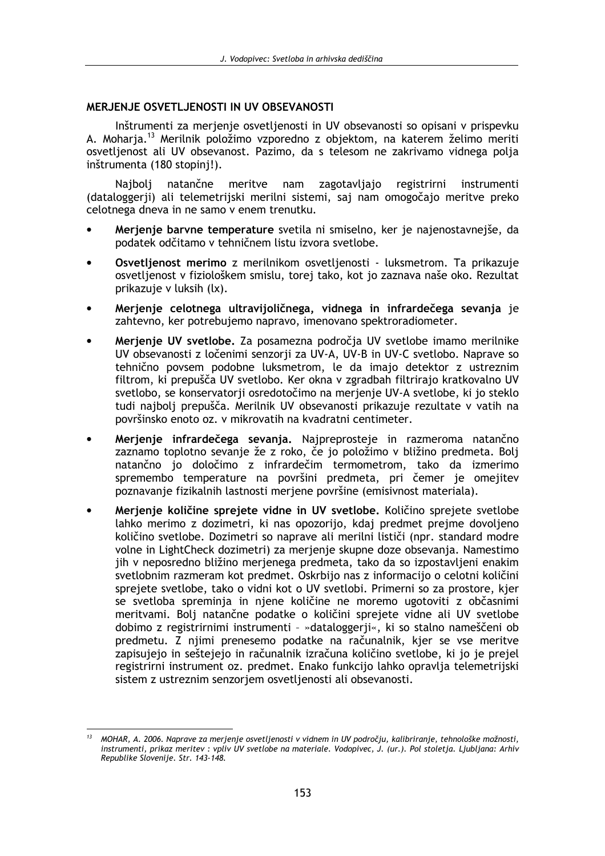### MERJENJE OSVETLJENOSTI IN UV OBSEVANOSTI

Inštrumenti za merjenje osvetljenosti in UV obsevanosti so opisani v prispevku A. Moharja.<sup>13</sup> Merilnik položimo vzporedno z objektom, na katerem želimo meriti osvetlienost ali UV obsevanost. Pazimo, da s telesom ne zakrivamo vidnega polia inštrumenta (180 stopinj!).

Naiboli natančne meritve nam zagotavliaio registrirni instrumenti (dataloggerji) ali telemetrijski merilni sistemi, saj nam omogočajo meritve preko celotnega dneva in ne samo v enem trenutku.

- Merjenje barvne temperature svetila ni smiselno, ker je najenostavnejše, da podatek odčitamo v tehničnem listu izvora svetlobe.
- Osvetljenost merimo z merilnikom osvetljenosti luksmetrom. Ta prikazuje osvetljenost v fiziološkem smislu, torej tako, kot jo zaznava naše oko. Rezultat prikazuje v luksih (lx).
- Merjenje celotnega ultravijoličnega, vidnega in infrardečega sevanja je zahtevno, ker potrebujemo napravo, imenovano spektroradiometer.
- Merjenje UV svetlobe. Za posamezna področja UV svetlobe imamo merilnike UV obsevanosti z ločenimi senzorji za UV-A, UV-B in UV-C svetlobo. Naprave so tehnično povsem podobne luksmetrom, le da imajo detektor z ustreznim filtrom, ki prepušča UV svetlobo. Ker okna v zgradbah filtrirajo kratkovalno UV svetlobo, se konservatorji osredotočimo na merjenje UV-A svetlobe, ki jo steklo tudi najbolj prepušča. Merilnik UV obsevanosti prikazuje rezultate v vatih na površinsko enoto oz. v mikrovatih na kvadratni centimeter.
- Merjenje infrardečega sevanja. Najpreprosteje in razmeroma natančno zaznamo toplotno sevanje že z roko, če jo položimo v bližino predmeta. Bolj natančno io določimo z infrardečim termometrom, tako da izmerimo spremembo temperature na površini predmeta, pri čemer je omejitev poznavanje fizikalnih lastnosti merjene površine (emisivnost materiala).
- Merjenje količine sprejete vidne in UV svetlobe. Količino sprejete svetlobe lahko merimo z dozimetri, ki nas opozorijo, kdaj predmet prejme dovoljeno količino svetlobe. Dozimetri so naprave ali merilni lističi (npr. standard modre volne in LightCheck dozimetri) za merjenje skupne doze obsevanja. Namestimo jih v neposredno bližino merienega predmeta, tako da so izpostavljeni enakim svetlobnim razmeram kot predmet. Oskrbijo nas z informacijo o celotni količini sprejete svetlobe, tako o vidni kot o UV svetlobi. Primerni so za prostore, kier se svetloba spreminia in niene količine ne moremo ugotoviti z občasnimi meritvami. Bolj natančne podatke o količini sprejete vidne ali UV svetlobe dobimo z registrirnimi instrumenti - »dataloggerji«, ki so stalno nameščeni ob predmetu. Z njimi prenesemo podatke na računalnik, kjer se vse meritve zapisujejo in seštejejo in računalnik izračuna količino svetlobe, ki jo je prejel registrirni instrument oz. predmet. Enako funkcijo lahko opravlja telemetrijski sistem z ustreznim senzorjem osvetljenosti ali obsevanosti.

MOHAR, A. 2006. Naprave za merjenje osvetljenosti v vidnem in UV področju, kalibriranje, tehnološke možnosti, instrumenti, prikaz meritev : vpliv UV svetlobe na materiale. Vodopivec, J. (ur.). Pol stoletja. Ljubljana: Arhiv Republike Slovenije. Str. 143-148.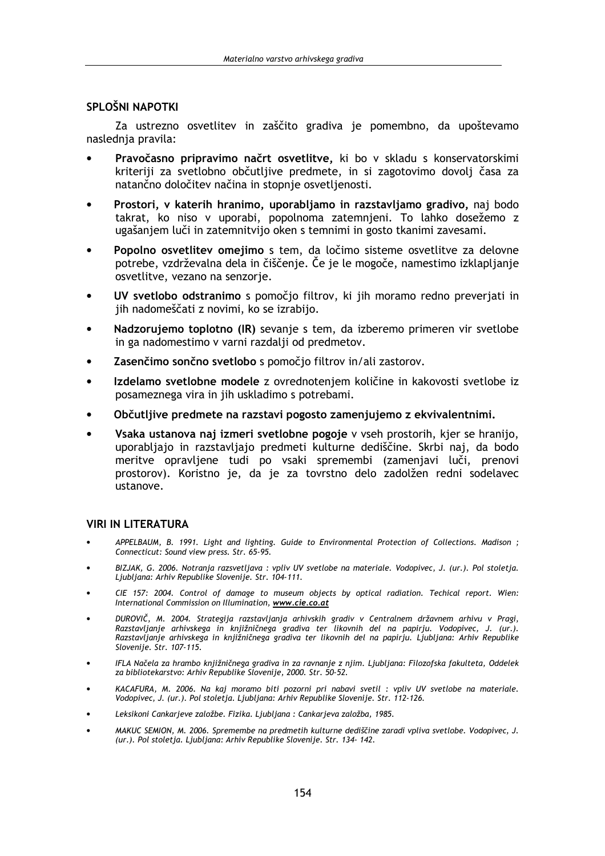## SPLOŠNI NAPOTKI

Za ustrezno osvetlitev in zaščito gradiva je pomembno, da upoštevamo naslednja pravila:

- Pravočasno pripravimo načrt osvetlitve, ki bo v skladu s konservatorskimi kriteriji za svetlobno občutljive predmete, in si zagotovimo dovolj časa za natančno določitev načina in stopnie osvetlienosti.
- Prostori, v katerih hranimo, uporabljamo in razstavljamo gradivo, naj bodo takrat, ko niso v uporabi, popolnoma zatemnjeni. To lahko dosežemo z ugašaniem luči in zatemnitvijo oken s temnimi in gosto tkanimi zavesami.
- Popolno osvetlitev omejimo s tem, da ločimo sisteme osvetlitve za delovne potrebe, vzdrževalna dela in čiščenje. Če je le mogoče, namestimo izklapljanje osvetlitve, vezano na senzorje.
- UV svetlobo odstranimo s pomočjo filtrov, ki jih moramo redno preverjati in jih nadomeščati z novimi, ko se izrabijo.
- Nadzorujemo toplotno (IR) sevanje s tem, da izberemo primeren vir svetlobe in ga nadomestimo v varni razdalji od predmetov.
- Zasenčimo sončno svetlobo s pomočio filtrov in/ali zastorov.
- Izdelamo svetlobne modele z ovrednotenjem količine in kakovosti svetlobe iz posameznega vira in jih uskladimo s potrebami.
- Občutljive predmete na razstavi pogosto zamenjujemo z ekvivalentnimi.
- Vsaka ustanova naj izmeri svetlobne pogoje v vseh prostorih, kjer se hranijo, uporabljajo in razstavljajo predmeti kulturne dediščine. Skrbi naj, da bodo meritve opravljene tudi po vsaki spremembi (zamenjavi luči, prenovi prostorov). Koristno je, da je za tovrstno delo zadolžen redni sodelavec ustanove.

### **VIRI IN LITERATURA**

- APPELBAUM, B. 1991. Light and lighting. Guide to Environmental Protection of Collections. Madison: Connecticut: Sound view press. Str. 65-95.
- BIZJAK, G. 2006. Notranja razsvetljava : vpliv UV svetlobe na materiale. Vodopivec, J. (ur.). Pol stoletja. Ljubljana: Arhiv Republike Slovenije. Str. 104-111.
- CIE 157: 2004. Control of damage to museum objects by optical radiation. Techical report. Wien: International Commission on Illumination, www.cie.co.at
- DUROVIČ, M. 2004. Strategija razstavljanja arhivskih gradiv v Centralnem državnem arhivu v Pragi,<br>Razstavljanje arhivskega in knjižničnega gradiva ter likovnih del na papirju. Vodopivec, J. (ur.). Razstavljanje arhivskega in knjižničnega gradiva ter likovnih del na papirju. Ljubljana: Arhiv Republike Slovenije. Str. 107-115.
- IFLA Načela za hrambo knjižničnega gradiva in za ravnanje z njim. Ljubljana: Filozofska fakulteta, Oddelek za bibliotekarstvo: Arhiv Republike Slovenije, 2000. Str. 50-52.
- KACAFURA, M. 2006. Na kai moramo biti pozorni pri nabavi svetil : vpliv UV svetlobe na materiale. Vodopivec, J. (ur.). Pol stoletja. Ljubljana: Arhiv Republike Slovenije. Str. 112-126.
- Leksikoni Cankarjeve založbe. Fizika. Ljubljana : Cankarjeva založba, 1985.
- MAKUC SEMION, M. 2006. Spremembe na predmetih kulturne dediščine zaradi vpliva svetlobe. Vodopivec, J. (ur.). Pol stoletja. Ljubljana: Arhiv Republike Slovenije. Str. 134- 142.